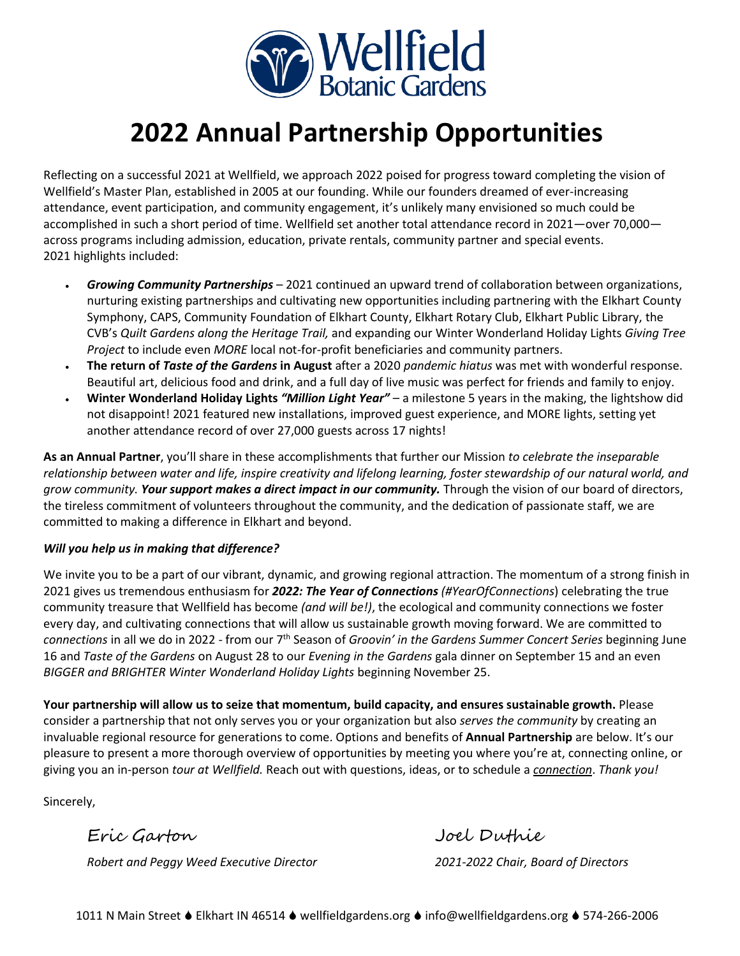

# **2022 Annual Partnership Opportunities**

Reflecting on a successful 2021 at Wellfield, we approach 2022 poised for progress toward completing the vision of Wellfield's Master Plan, established in 2005 at our founding. While our founders dreamed of ever-increasing attendance, event participation, and community engagement, it's unlikely many envisioned so much could be accomplished in such a short period of time. Wellfield set another total attendance record in 2021—over 70,000 across programs including admission, education, private rentals, community partner and special events. 2021 highlights included:

- *Growing Community Partnerships* 2021 continued an upward trend of collaboration between organizations, nurturing existing partnerships and cultivating new opportunities including partnering with the Elkhart County Symphony, CAPS, Community Foundation of Elkhart County, Elkhart Rotary Club, Elkhart Public Library, the CVB's *Quilt Gardens along the Heritage Trail,* and expanding our Winter Wonderland Holiday Lights *Giving Tree Project* to include even *MORE* local not-for-profit beneficiaries and community partners.
- **The return of** *Taste of the Gardens* **in August** after a 2020 *pandemic hiatus* was met with wonderful response. Beautiful art, delicious food and drink, and a full day of live music was perfect for friends and family to enjoy.
- **Winter Wonderland Holiday Lights** *"Million Light Year"* a milestone 5 years in the making, the lightshow did not disappoint! 2021 featured new installations, improved guest experience, and MORE lights, setting yet another attendance record of over 27,000 guests across 17 nights!

**As an Annual Partner**, you'll share in these accomplishments that further our Mission *to celebrate the inseparable relationship between water and life, inspire creativity and lifelong learning, foster stewardship of our natural world, and grow community. Your support makes a direct impact in our community.* Through the vision of our board of directors, the tireless commitment of volunteers throughout the community, and the dedication of passionate staff, we are committed to making a difference in Elkhart and beyond.

#### *Will you help us in making that difference?*

We invite you to be a part of our vibrant, dynamic, and growing regional attraction. The momentum of a strong finish in 2021 gives us tremendous enthusiasm for *2022: The Year of Connections (#YearOfConnections*) celebrating the true community treasure that Wellfield has become *(and will be!)*, the ecological and community connections we foster every day, and cultivating connections that will allow us sustainable growth moving forward. We are committed to connections in all we do in 2022 - from our 7<sup>th</sup> Season of *Groovin' in the Gardens Summer Concert Series* beginning June 16 and *Taste of the Gardens* on August 28 to our *Evening in the Gardens* gala dinner on September 15 and an even *BIGGER and BRIGHTER Winter Wonderland Holiday Lights* beginning November 25.

**Your partnership will allow us to seize that momentum, build capacity, and ensures sustainable growth.** Please consider a partnership that not only serves you or your organization but also *serves the community* by creating an invaluable regional resource for generations to come. Options and benefits of **Annual Partnership** are below. It's our pleasure to present a more thorough overview of opportunities by meeting you where you're at, connecting online, or giving you an in-person *tour at Wellfield.* Reach out with questions, ideas, or to schedule a *connection*. *Thank you!*

Sincerely,

*Robert and Peggy Weed Executive Director 2021-2022 Chair, Board of Directors*

Eric Garton Joel Duthie